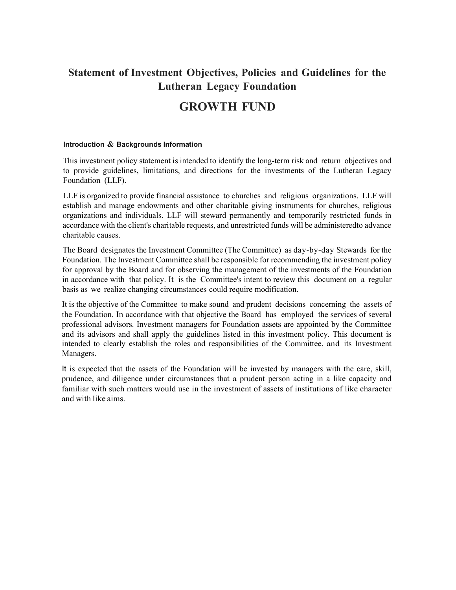## Statement of Investment Objectives, Policies and Guidelines for the Lutheran Legacy Foundation

# GROWTH FUND

#### Introduction & Backgrounds Information

This investment policy statement is intended to identify the long-term risk and return objectives and to provide guidelines, limitations, and directions for the investments of the Lutheran Legacy Foundation (LLF).

LLF is organized to provide financial assistance to churches and religious organizations. LLF will establish and manage endowments and other charitable giving instruments for churches, religious organizations and individuals. LLF will steward permanently and temporarily restricted funds in accordance with the client's charitable requests, and unrestricted funds will be administered to advance charitable causes.

The Board designates the Investment Committee (The Committee) as day-by-day Stewards for the Foundation. The Investment Committee shall be responsible for recommending the investment policy for approval by the Board and for observing the management of the investments of the Foundation in accordance with that policy. It is the Committee's intent to review this document on a regular basis as we realize changing circumstances could require modification.

It is the objective of the Committee to make sound and prudent decisions concerning the assets of the Foundation. In accordance with that objective the Board has employed the services of several professional advisors. Investment managers for Foundation assets are appointed by the Committee and its advisors and shall apply the guidelines listed in this investment policy. This document is intended to clearly establish the roles and responsibilities of the Committee, and its Investment Managers.

It is expected that the assets of the Foundation will be invested by managers with the care, skill, prudence, and diligence under circumstances that a prudent person acting in a like capacity and familiar with such matters would use in the investment of assets of institutions of like character and with like aims.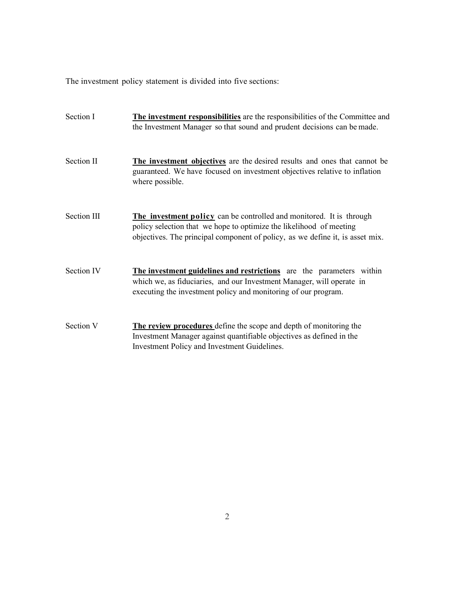The investment policy statement is divided into five sections:

| Section I          | The investment responsibilities are the responsibilities of the Committee and<br>the Investment Manager so that sound and prudent decisions can be made.                                                                            |
|--------------------|-------------------------------------------------------------------------------------------------------------------------------------------------------------------------------------------------------------------------------------|
| Section II         | The investment objectives are the desired results and ones that cannot be<br>guaranteed. We have focused on investment objectives relative to inflation<br>where possible.                                                          |
| <b>Section III</b> | <b>The investment policy</b> can be controlled and monitored. It is through<br>policy selection that we hope to optimize the likelihood of meeting<br>objectives. The principal component of policy, as we define it, is asset mix. |
| Section IV         | The investment guidelines and restrictions are the parameters within<br>which we, as fiduciaries, and our Investment Manager, will operate in<br>executing the investment policy and monitoring of our program.                     |
| Section V          | The review procedures define the scope and depth of monitoring the<br>Investment Manager against quantifiable objectives as defined in the<br>Investment Policy and Investment Guidelines.                                          |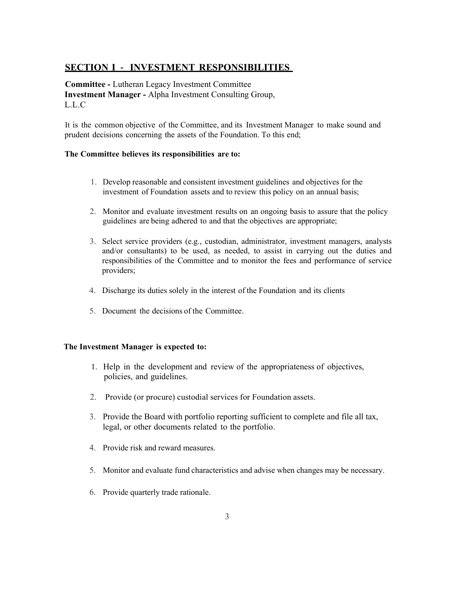### SECTION I - INVESTMENT RESPONSIBILITIES

Committee - Lutheran Legacy Investment Committee Investment Manager - Alpha Investment Consulting Group, L.L.C

It is the common objective of the Committee, and its Investment Manager to make sound and prudent decisions concerning the assets of the Foundation. To this end;

#### The Committee believes its responsibilities are to:

- 1. Develop reasonable and consistent investment guidelines and objectives for the investment of Foundation assets and to review this policy on an annual basis;
- 2. Monitor and evaluate investment results on an ongoing basis to assure that the policy guidelines are being adhered to and that the objectives are appropriate;
- 3. Select service providers (e.g., custodian, administrator, investment managers, analysts and/or consultants) to be used, as needed, to assist in carrying out the duties and responsibilities of the Committee and to monitor the fees and performance of service providers;
- 4. Discharge its duties solely in the interest of the Foundation and its clients
- 5. Document the decisions of the Committee.

#### The Investment Manager is expected to:

- 1. Help in the development and review of the appropriateness of objectives, policies, and guidelines.
- 2. Provide (or procure) custodial services for Foundation assets.
- 3. Provide the Board with portfolio reporting sufficient to complete and file all tax, legal, or other documents related to the portfolio.
- 4. Provide risk and reward measures.
- 5. Monitor and evaluate fund characteristics and advise when changes may be necessary.
- 6. Provide quarterly trade rationale.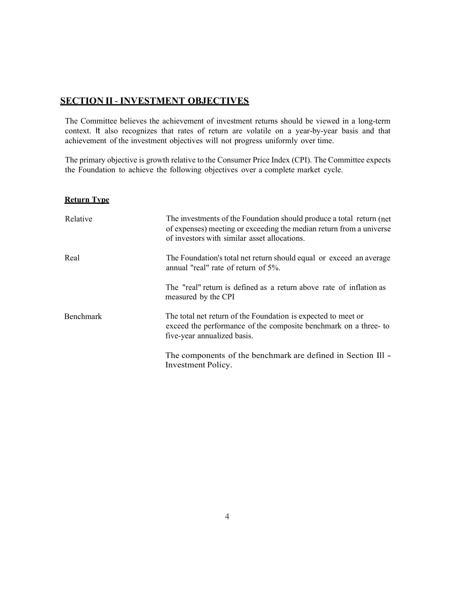### SECTION II - INVESTMENT OBJECTIVES

The Committee believes the achievement of investment returns should be viewed in a long-term context. It also recognizes that rates of return are volatile on a year-by-year basis and that achievement of the investment objectives will not progress uniformly over time.

The primary objective is growth relative to the Consumer Price Index (CPI). The Committee expects the Foundation to achieve the following objectives over a complete market cycle.

#### Return Type

| Relative  | The investments of the Foundation should produce a total return (net<br>of expenses) meeting or exceeding the median return from a universe<br>of investors with similar asset allocations. |
|-----------|---------------------------------------------------------------------------------------------------------------------------------------------------------------------------------------------|
| Real      | The Foundation's total net return should equal or exceed an average<br>annual "real" rate of return of 5%.                                                                                  |
|           | The "real" return is defined as a return above rate of inflation as<br>measured by the CPI                                                                                                  |
| Benchmark | The total net return of the Foundation is expected to meet or<br>exceed the performance of the composite benchmark on a three-to<br>five-year annualized basis.                             |
|           | The components of the benchmark are defined in Section III -<br>Investment Policy.                                                                                                          |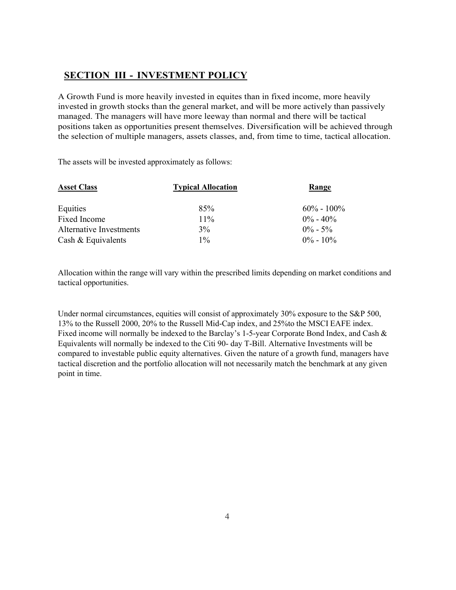### SECTION III - INVESTMENT POLICY

A Growth Fund is more heavily invested in equites than in fixed income, more heavily invested in growth stocks than the general market, and will be more actively than passively managed. The managers will have more leeway than normal and there will be tactical positions taken as opportunities present themselves. Diversification will be achieved through the selection of multiple managers, assets classes, and, from time to time, tactical allocation.

The assets will be invested approximately as follows:

| <b>Typical Allocation</b> | Range          |
|---------------------------|----------------|
| 85%                       | $60\% - 100\%$ |
| $11\%$                    | $0\% - 40\%$   |
| $3\%$                     | $0\% - 5\%$    |
| $1\%$                     | $0\% - 10\%$   |
|                           |                |

Allocation within the range will vary within the prescribed limits depending on market conditions and tactical opportunities.

Under normal circumstances, equities will consist of approximately 30% exposure to the S&P 500, 13% to the Russell 2000, 20% to the Russell Mid-Cap index, and 25%to the MSCI EAFE index. Fixed income will normally be indexed to the Barclay's 1-5-year Corporate Bond Index, and Cash & Equivalents will normally be indexed to the Citi 90- day T-Bill. Alternative Investments will be compared to investable public equity alternatives. Given the nature of a growth fund, managers have tactical discretion and the portfolio allocation will not necessarily match the benchmark at any given point in time.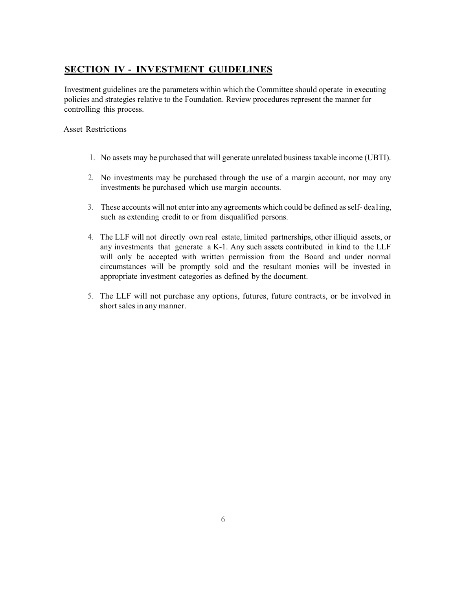## SECTION IV - INVESTMENT GUIDELINES

Investment guidelines are the parameters within which the Committee should operate in executing policies and strategies relative to the Foundation. Review procedures represent the manner for controlling this process.

Asset Restrictions

- 1. No assets may be purchased that will generate unrelated business taxable income (UBTI).
- 2. No investments may be purchased through the use of a margin account, nor may any investments be purchased which use margin accounts.
- 3. These accounts will not enter into any agreements which could be defined as self- dea1ing, such as extending credit to or from disqualified persons.
- 4. The LLF will not directly own real estate, limited partnerships, other illiquid assets, or any investments that generate a K-1. Any such assets contributed in kind to the LLF will only be accepted with written permission from the Board and under normal circumstances will be promptly sold and the resultant monies will be invested in appropriate investment categories as defined by the document.
- 5. The LLF will not purchase any options, futures, future contracts, or be involved in short sales in any manner.